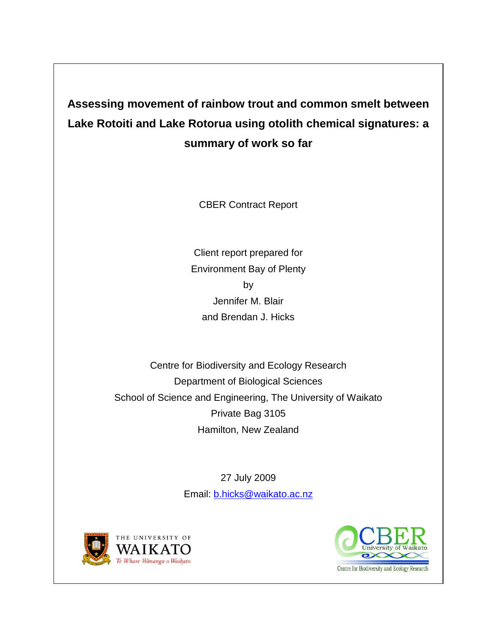**Assessing movement of rainbow trout and common smelt between Lake Rotoiti and Lake Rotorua using otolith chemical signatures: a summary of work so far**

CBER Contract Report

Client report prepared for Environment Bay of Plenty by Jennifer M. Blair and Brendan J. Hicks

Centre for Biodiversity and Ecology Research Department of Biological Sciences School of Science and Engineering, The University of Waikato Private Bag 3105 Hamilton, New Zealand

> 27 July 2009 Email: [b.hicks@waikato.ac.nz](mailto:b.hicks@waikato.ac.nz)



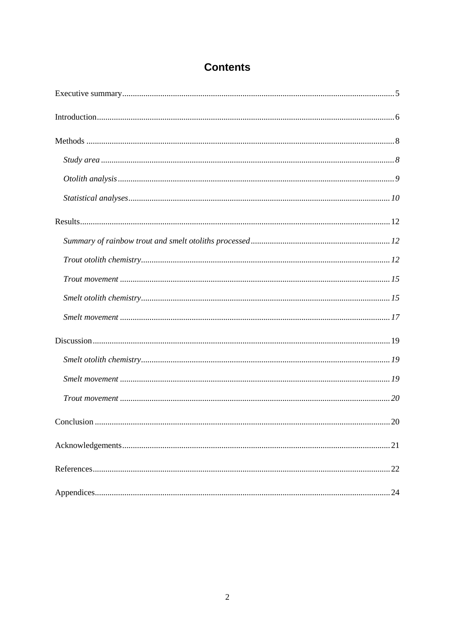## **Contents**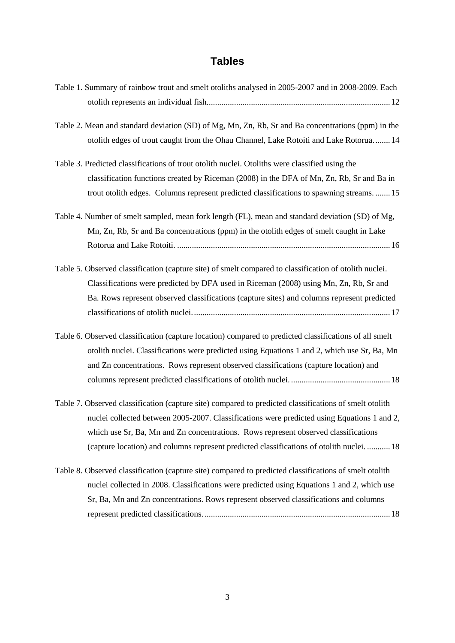# **Tables**

| Table 1. Summary of rainbow trout and smelt otoliths analysed in 2005-2007 and in 2008-2009. Each      |
|--------------------------------------------------------------------------------------------------------|
|                                                                                                        |
|                                                                                                        |
| Table 2. Mean and standard deviation (SD) of Mg, Mn, Zn, Rb, Sr and Ba concentrations (ppm) in the     |
| otolith edges of trout caught from the Ohau Channel, Lake Rotoiti and Lake Rotorua 14                  |
|                                                                                                        |
| Table 3. Predicted classifications of trout otolith nuclei. Otoliths were classified using the         |
| classification functions created by Riceman (2008) in the DFA of Mn, Zn, Rb, Sr and Ba in              |
| trout otolith edges. Columns represent predicted classifications to spawning streams15                 |
| Table 4. Number of smelt sampled, mean fork length (FL), mean and standard deviation (SD) of Mg,       |
| Mn, Zn, Rb, Sr and Ba concentrations (ppm) in the otolith edges of smelt caught in Lake                |
|                                                                                                        |
| Table 5. Observed classification (capture site) of smelt compared to classification of otolith nuclei. |
| Classifications were predicted by DFA used in Riceman (2008) using Mn, Zn, Rb, Sr and                  |
| Ba. Rows represent observed classifications (capture sites) and columns represent predicted            |
|                                                                                                        |
|                                                                                                        |
|                                                                                                        |
| Table 6. Observed classification (capture location) compared to predicted classifications of all smelt |
| otolith nuclei. Classifications were predicted using Equations 1 and 2, which use Sr, Ba, Mn           |
| and Zn concentrations. Rows represent observed classifications (capture location) and                  |
|                                                                                                        |
| Table 7. Observed classification (capture site) compared to predicted classifications of smelt otolith |
| nuclei collected between 2005-2007. Classifications were predicted using Equations 1 and 2,            |
|                                                                                                        |
| which use Sr, Ba, Mn and Zn concentrations. Rows represent observed classifications                    |
| (capture location) and columns represent predicted classifications of otolith nuclei.  18              |
| Table 8. Observed classification (capture site) compared to predicted classifications of smelt otolith |
| nuclei collected in 2008. Classifications were predicted using Equations 1 and 2, which use            |
| Sr, Ba, Mn and Zn concentrations. Rows represent observed classifications and columns                  |
|                                                                                                        |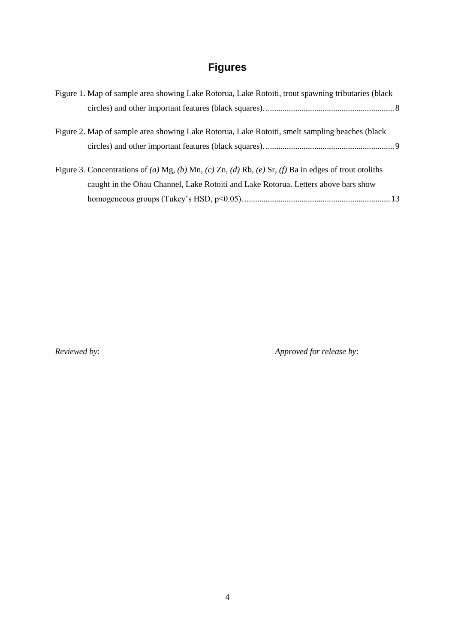# **Figures**

| Figure 1. Map of sample area showing Lake Rotorua, Lake Rotoiti, trout spawning tributaries (black    |  |
|-------------------------------------------------------------------------------------------------------|--|
|                                                                                                       |  |
| Figure 2. Map of sample area showing Lake Rotorua, Lake Rotoiti, smelt sampling beaches (black        |  |
|                                                                                                       |  |
| Figure 3. Concentrations of (a) Mg, (b) Mn, (c) Zn, (d) Rb, (e) Sr, (f) Ba in edges of trout otoliths |  |
| caught in the Ohau Channel, Lake Rotoiti and Lake Rotorua. Letters above bars show                    |  |
|                                                                                                       |  |

*Reviewed by*: *Approved for release by*: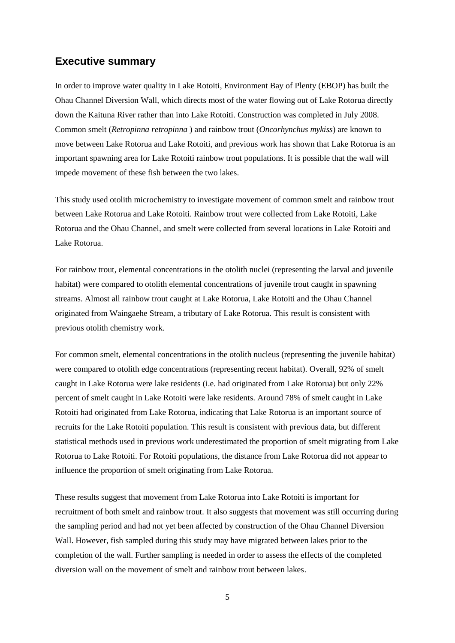## <span id="page-4-0"></span>**Executive summary**

In order to improve water quality in Lake Rotoiti, Environment Bay of Plenty (EBOP) has built the Ohau Channel Diversion Wall, which directs most of the water flowing out of Lake Rotorua directly down the Kaituna River rather than into Lake Rotoiti. Construction was completed in July 2008. Common smelt (*Retropinna retropinna* ) and rainbow trout (*Oncorhynchus mykiss*) are known to move between Lake Rotorua and Lake Rotoiti, and previous work has shown that Lake Rotorua is an important spawning area for Lake Rotoiti rainbow trout populations. It is possible that the wall will impede movement of these fish between the two lakes.

This study used otolith microchemistry to investigate movement of common smelt and rainbow trout between Lake Rotorua and Lake Rotoiti. Rainbow trout were collected from Lake Rotoiti, Lake Rotorua and the Ohau Channel, and smelt were collected from several locations in Lake Rotoiti and Lake Rotorua.

For rainbow trout, elemental concentrations in the otolith nuclei (representing the larval and juvenile habitat) were compared to otolith elemental concentrations of juvenile trout caught in spawning streams. Almost all rainbow trout caught at Lake Rotorua, Lake Rotoiti and the Ohau Channel originated from Waingaehe Stream, a tributary of Lake Rotorua. This result is consistent with previous otolith chemistry work.

For common smelt, elemental concentrations in the otolith nucleus (representing the juvenile habitat) were compared to otolith edge concentrations (representing recent habitat). Overall, 92% of smelt caught in Lake Rotorua were lake residents (i.e. had originated from Lake Rotorua) but only 22% percent of smelt caught in Lake Rotoiti were lake residents. Around 78% of smelt caught in Lake Rotoiti had originated from Lake Rotorua, indicating that Lake Rotorua is an important source of recruits for the Lake Rotoiti population. This result is consistent with previous data, but different statistical methods used in previous work underestimated the proportion of smelt migrating from Lake Rotorua to Lake Rotoiti. For Rotoiti populations, the distance from Lake Rotorua did not appear to influence the proportion of smelt originating from Lake Rotorua.

These results suggest that movement from Lake Rotorua into Lake Rotoiti is important for recruitment of both smelt and rainbow trout. It also suggests that movement was still occurring during the sampling period and had not yet been affected by construction of the Ohau Channel Diversion Wall. However, fish sampled during this study may have migrated between lakes prior to the completion of the wall. Further sampling is needed in order to assess the effects of the completed diversion wall on the movement of smelt and rainbow trout between lakes.

5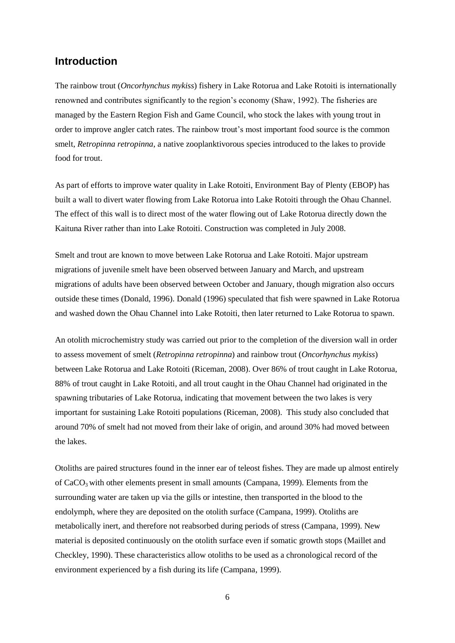### <span id="page-5-0"></span>**Introduction**

The rainbow trout (*Oncorhynchus mykiss*) fishery in Lake Rotorua and Lake Rotoiti is internationally renowned and contributes significantly to the region's economy (Shaw, 1992). The fisheries are managed by the Eastern Region Fish and Game Council, who stock the lakes with young trout in order to improve angler catch rates. The rainbow trout's most important food source is the common smelt, *Retropinna retropinna*, a native zooplanktivorous species introduced to the lakes to provide food for trout.

As part of efforts to improve water quality in Lake Rotoiti, Environment Bay of Plenty (EBOP) has built a wall to divert water flowing from Lake Rotorua into Lake Rotoiti through the Ohau Channel. The effect of this wall is to direct most of the water flowing out of Lake Rotorua directly down the Kaituna River rather than into Lake Rotoiti. Construction was completed in July 2008.

Smelt and trout are known to move between Lake Rotorua and Lake Rotoiti. Major upstream migrations of juvenile smelt have been observed between January and March, and upstream migrations of adults have been observed between October and January, though migration also occurs outside these times (Donald, 1996). Donald (1996) speculated that fish were spawned in Lake Rotorua and washed down the Ohau Channel into Lake Rotoiti, then later returned to Lake Rotorua to spawn.

An otolith microchemistry study was carried out prior to the completion of the diversion wall in order to assess movement of smelt (*Retropinna retropinna*) and rainbow trout (*Oncorhynchus mykiss*) between Lake Rotorua and Lake Rotoiti (Riceman, 2008). Over 86% of trout caught in Lake Rotorua, 88% of trout caught in Lake Rotoiti, and all trout caught in the Ohau Channel had originated in the spawning tributaries of Lake Rotorua, indicating that movement between the two lakes is very important for sustaining Lake Rotoiti populations (Riceman, 2008). This study also concluded that around 70% of smelt had not moved from their lake of origin, and around 30% had moved between the lakes.

Otoliths are paired structures found in the inner ear of teleost fishes. They are made up almost entirely of  $CaCO<sub>3</sub>$  with other elements present in small amounts (Campana, 1999). Elements from the surrounding water are taken up via the gills or intestine, then transported in the blood to the endolymph, where they are deposited on the otolith surface (Campana, 1999). Otoliths are metabolically inert, and therefore not reabsorbed during periods of stress (Campana, 1999). New material is deposited continuously on the otolith surface even if somatic growth stops (Maillet and Checkley, 1990). These characteristics allow otoliths to be used as a chronological record of the environment experienced by a fish during its life (Campana, 1999).

6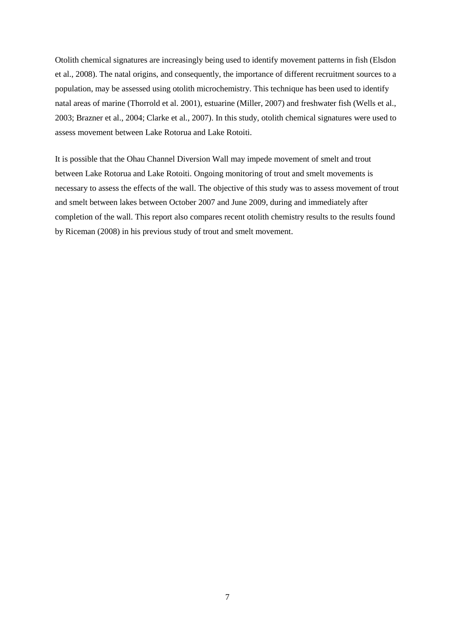Otolith chemical signatures are increasingly being used to identify movement patterns in fish (Elsdon et al., 2008). The natal origins, and consequently, the importance of different recruitment sources to a population, may be assessed using otolith microchemistry. This technique has been used to identify natal areas of marine (Thorrold et al. 2001), estuarine (Miller, 2007) and freshwater fish (Wells et al., 2003; Brazner et al., 2004; Clarke et al., 2007). In this study, otolith chemical signatures were used to assess movement between Lake Rotorua and Lake Rotoiti.

It is possible that the Ohau Channel Diversion Wall may impede movement of smelt and trout between Lake Rotorua and Lake Rotoiti. Ongoing monitoring of trout and smelt movements is necessary to assess the effects of the wall. The objective of this study was to assess movement of trout and smelt between lakes between October 2007 and June 2009, during and immediately after completion of the wall. This report also compares recent otolith chemistry results to the results found by Riceman (2008) in his previous study of trout and smelt movement.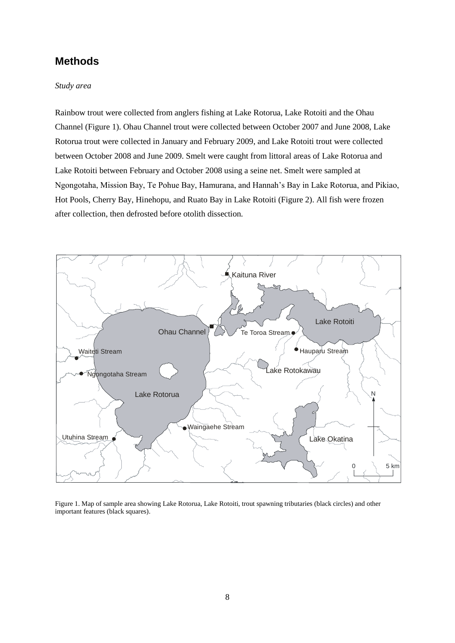## <span id="page-7-0"></span>**Methods**

#### <span id="page-7-1"></span>*Study area*

Rainbow trout were collected from anglers fishing at Lake Rotorua, Lake Rotoiti and the Ohau Channel (Figure 1). Ohau Channel trout were collected between October 2007 and June 2008, Lake Rotorua trout were collected in January and February 2009, and Lake Rotoiti trout were collected between October 2008 and June 2009. Smelt were caught from littoral areas of Lake Rotorua and Lake Rotoiti between February and October 2008 using a seine net. Smelt were sampled at Ngongotaha, Mission Bay, Te Pohue Bay, Hamurana, and Hannah's Bay in Lake Rotorua, and Pikiao, Hot Pools, Cherry Bay, Hinehopu, and Ruato Bay in Lake Rotoiti (Figure 2). All fish were frozen after collection, then defrosted before otolith dissection.



<span id="page-7-2"></span>Figure 1. Map of sample area showing Lake Rotorua, Lake Rotoiti, trout spawning tributaries (black circles) and other important features (black squares).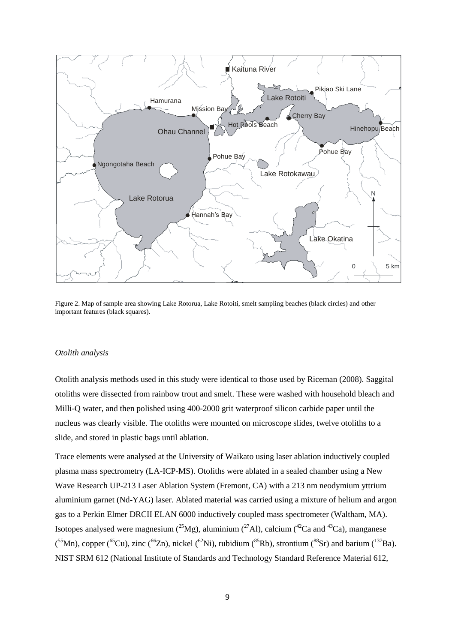

<span id="page-8-1"></span>Figure 2. Map of sample area showing Lake Rotorua, Lake Rotoiti, smelt sampling beaches (black circles) and other important features (black squares).

#### <span id="page-8-0"></span>*Otolith analysis*

Otolith analysis methods used in this study were identical to those used by Riceman (2008). Saggital otoliths were dissected from rainbow trout and smelt. These were washed with household bleach and Milli-Q water, and then polished using 400-2000 grit waterproof silicon carbide paper until the nucleus was clearly visible. The otoliths were mounted on microscope slides, twelve otoliths to a slide, and stored in plastic bags until ablation.

Trace elements were analysed at the University of Waikato using laser ablation inductively coupled plasma mass spectrometry (LA-ICP-MS). Otoliths were ablated in a sealed chamber using a New Wave Research UP-213 Laser Ablation System (Fremont, CA) with a 213 nm neodymium yttrium aluminium garnet (Nd-YAG) laser. Ablated material was carried using a mixture of helium and argon gas to a Perkin Elmer DRCII ELAN 6000 inductively coupled mass spectrometer (Waltham, MA). Isotopes analysed were magnesium ( $^{25}Mg$ ), aluminium ( $^{27}Al$ ), calcium ( $^{42}Ca$  and  $^{43}Ca$ ), manganese  $(55Mn)$ , copper ( $55Cu$ ), zinc ( $56Zn$ ), nickel ( $58Ni$ ), rubidium ( $58Kb$ ), strontium ( $58Sr$ ) and barium ( $137Ba$ ). NIST SRM 612 (National Institute of Standards and Technology Standard Reference Material 612,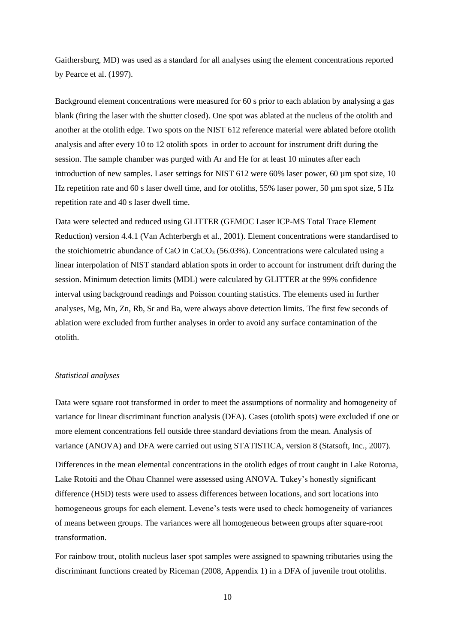Gaithersburg, MD) was used as a standard for all analyses using the element concentrations reported by Pearce et al. (1997).

Background element concentrations were measured for 60 s prior to each ablation by analysing a gas blank (firing the laser with the shutter closed). One spot was ablated at the nucleus of the otolith and another at the otolith edge. Two spots on the NIST 612 reference material were ablated before otolith analysis and after every 10 to 12 otolith spots in order to account for instrument drift during the session. The sample chamber was purged with Ar and He for at least 10 minutes after each introduction of new samples. Laser settings for NIST 612 were 60% laser power, 60 µm spot size, 10 Hz repetition rate and 60 s laser dwell time, and for otoliths, 55% laser power, 50  $\mu$ m spot size, 5 Hz repetition rate and 40 s laser dwell time.

Data were selected and reduced using GLITTER (GEMOC Laser ICP-MS Total Trace Element Reduction) version 4.4.1 (Van Achterbergh et al., 2001). Element concentrations were standardised to the stoichiometric abundance of CaO in CaCO<sub>3</sub> (56.03%). Concentrations were calculated using a linear interpolation of NIST standard ablation spots in order to account for instrument drift during the session. Minimum detection limits (MDL) were calculated by GLITTER at the 99% confidence interval using background readings and Poisson counting statistics. The elements used in further analyses, Mg, Mn, Zn, Rb, Sr and Ba, were always above detection limits. The first few seconds of ablation were excluded from further analyses in order to avoid any surface contamination of the otolith.

#### <span id="page-9-0"></span>*Statistical analyses*

Data were square root transformed in order to meet the assumptions of normality and homogeneity of variance for linear discriminant function analysis (DFA). Cases (otolith spots) were excluded if one or more element concentrations fell outside three standard deviations from the mean. Analysis of variance (ANOVA) and DFA were carried out using STATISTICA, version 8 (Statsoft, Inc., 2007).

Differences in the mean elemental concentrations in the otolith edges of trout caught in Lake Rotorua, Lake Rotoiti and the Ohau Channel were assessed using ANOVA. Tukey's honestly significant difference (HSD) tests were used to assess differences between locations, and sort locations into homogeneous groups for each element. Levene's tests were used to check homogeneity of variances of means between groups. The variances were all homogeneous between groups after square-root transformation.

For rainbow trout, otolith nucleus laser spot samples were assigned to spawning tributaries using the discriminant functions created by Riceman (2008, Appendix 1) in a DFA of juvenile trout otoliths.

10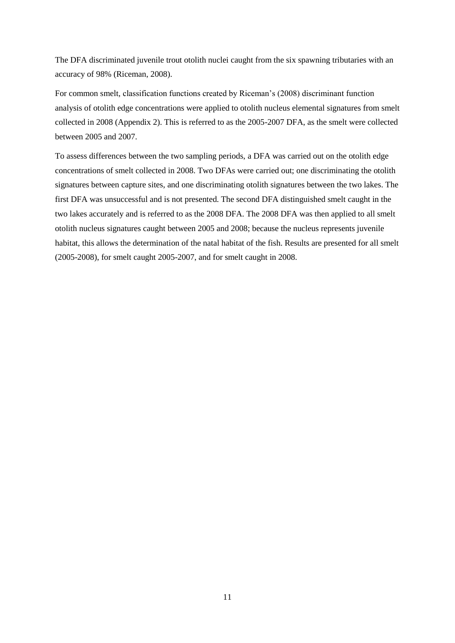The DFA discriminated juvenile trout otolith nuclei caught from the six spawning tributaries with an accuracy of 98% (Riceman, 2008).

For common smelt, classification functions created by Riceman's (2008) discriminant function analysis of otolith edge concentrations were applied to otolith nucleus elemental signatures from smelt collected in 2008 (Appendix 2). This is referred to as the 2005-2007 DFA, as the smelt were collected between 2005 and 2007.

To assess differences between the two sampling periods, a DFA was carried out on the otolith edge concentrations of smelt collected in 2008. Two DFAs were carried out; one discriminating the otolith signatures between capture sites, and one discriminating otolith signatures between the two lakes. The first DFA was unsuccessful and is not presented. The second DFA distinguished smelt caught in the two lakes accurately and is referred to as the 2008 DFA. The 2008 DFA was then applied to all smelt otolith nucleus signatures caught between 2005 and 2008; because the nucleus represents juvenile habitat, this allows the determination of the natal habitat of the fish. Results are presented for all smelt (2005-2008), for smelt caught 2005-2007, and for smelt caught in 2008.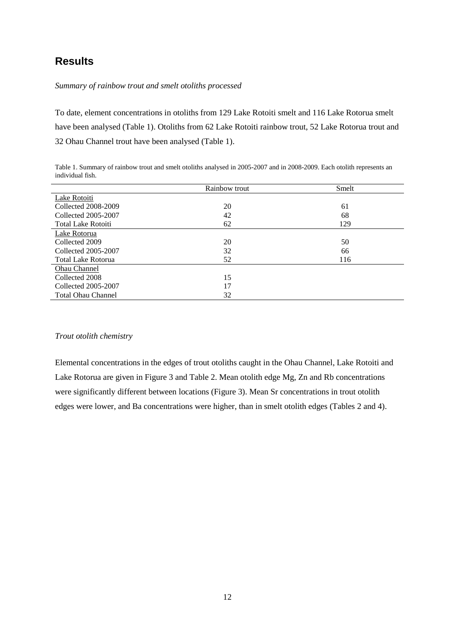## <span id="page-11-0"></span>**Results**

<span id="page-11-1"></span>*Summary of rainbow trout and smelt otoliths processed*

To date, element concentrations in otoliths from 129 Lake Rotoiti smelt and 116 Lake Rotorua smelt have been analysed (Table 1). Otoliths from 62 Lake Rotoiti rainbow trout, 52 Lake Rotorua trout and 32 Ohau Channel trout have been analysed (Table 1).

<span id="page-11-3"></span>Table 1. Summary of rainbow trout and smelt otoliths analysed in 2005-2007 and in 2008-2009. Each otolith represents an individual fish.

|                           | Rainbow trout | Smelt |
|---------------------------|---------------|-------|
| Lake Rotoiti              |               |       |
| Collected 2008-2009       | 20            | 61    |
| Collected 2005-2007       | 42            | 68    |
| <b>Total Lake Rotoiti</b> | 62            | 129   |
| Lake Rotorua              |               |       |
| Collected 2009            | 20            | 50    |
| Collected 2005-2007       | 32            | 66    |
| <b>Total Lake Rotorua</b> | 52            | 116   |
| Ohau Channel              |               |       |
| Collected 2008            | 15            |       |
| Collected 2005-2007       | 17            |       |
| <b>Total Ohau Channel</b> | 32            |       |

#### <span id="page-11-2"></span>*Trout otolith chemistry*

Elemental concentrations in the edges of trout otoliths caught in the Ohau Channel, Lake Rotoiti and Lake Rotorua are given in Figure 3 and Table 2. Mean otolith edge Mg, Zn and Rb concentrations were significantly different between locations (Figure 3). Mean Sr concentrations in trout otolith edges were lower, and Ba concentrations were higher, than in smelt otolith edges (Tables 2 and 4).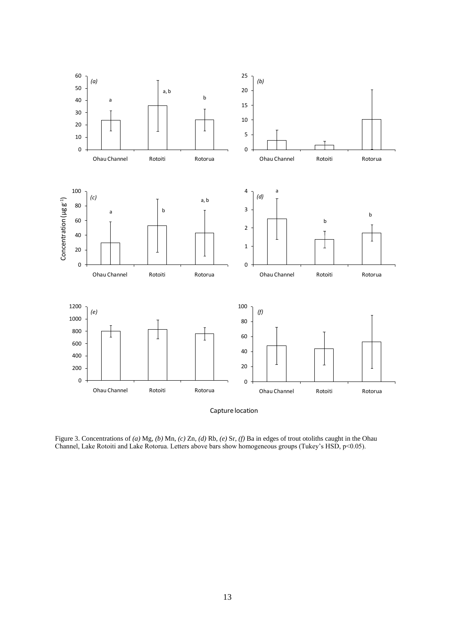

<span id="page-12-0"></span>Figure 3. Concentrations of *(a)* Mg, *(b)* Mn, *(c)* Zn, *(d)* Rb, *(e)* Sr, *(f)* Ba in edges of trout otoliths caught in the Ohau Channel, Lake Rotoiti and Lake Rotorua. Letters above bars show homogeneous groups (Tukey's HSD, p<0.05).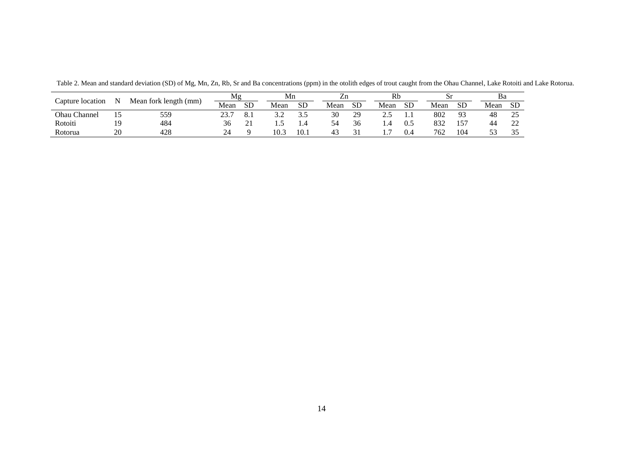<span id="page-13-0"></span>

|                  | N  | Mean fork length (mm) | Mg                   |           | Mn    |            | Ζn   |    | Rb   |     | ιυ   |                | ва   |                                    |
|------------------|----|-----------------------|----------------------|-----------|-------|------------|------|----|------|-----|------|----------------|------|------------------------------------|
| Capture location |    |                       | Mean                 | <b>SD</b> | Mean  | <b>SD</b>  | Mean | SD | Mean | SD  | Mean | SD             | Mean | <b>SD</b>                          |
| Ohau Channel     |    | 559                   | $2^{\circ}$<br>، د ت | 0. 1      | ے ، ب | ≺ ৲<br>ن ر | 30   | 29 | ن ک  | 1.1 | 802  | Q <sub>2</sub> | 48   | ت                                  |
| Rotoiti          |    | 484                   | 30                   |           | .     | 1.4        |      | 36 |      | 0.1 | 832  |                | 44   | $\sim$<br>$\overline{\phantom{a}}$ |
| Rotorua          | 20 | 428                   | 24                   |           | 10.3  | 10.1       | -45  |    |      | 0.4 | 762  | 104            |      |                                    |

Table 2. Mean and standard deviation (SD) of Mg, Mn, Zn, Rb, Sr and Ba concentrations (ppm) in the otolith edges of trout caught from the Ohau Channel, Lake Rotoiti and Lake Rotorua.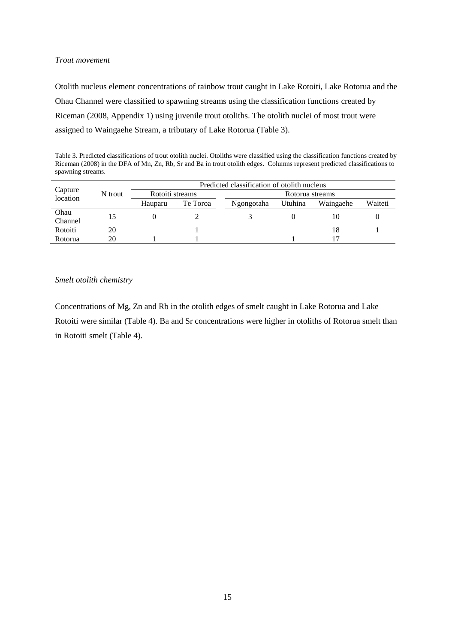#### <span id="page-14-0"></span>*Trout movement*

Otolith nucleus element concentrations of rainbow trout caught in Lake Rotoiti, Lake Rotorua and the Ohau Channel were classified to spawning streams using the classification functions created by Riceman (2008, Appendix 1) using juvenile trout otoliths. The otolith nuclei of most trout were assigned to Waingaehe Stream, a tributary of Lake Rotorua (Table 3).

<span id="page-14-2"></span>Table 3. Predicted classifications of trout otolith nuclei. Otoliths were classified using the classification functions created by Riceman (2008) in the DFA of Mn, Zn, Rb, Sr and Ba in trout otolith edges. Columns represent predicted classifications to spawning streams.

|                     |         | Predicted classification of otolith nucleus |          |                 |         |           |         |  |  |  |  |
|---------------------|---------|---------------------------------------------|----------|-----------------|---------|-----------|---------|--|--|--|--|
| Capture<br>location | N trout | Rotoiti streams                             |          | Rotorua streams |         |           |         |  |  |  |  |
|                     |         | Hauparu                                     | Te Toroa | Ngongotaha      | Utuhina | Waingaehe | Waiteti |  |  |  |  |
| Ohau<br>Channel     |         |                                             |          |                 |         | 10        |         |  |  |  |  |
| Rotoiti             | 20      |                                             |          |                 |         | 18        |         |  |  |  |  |
| Rotorua             | 20      |                                             |          |                 |         |           |         |  |  |  |  |

#### <span id="page-14-1"></span>*Smelt otolith chemistry*

Concentrations of Mg, Zn and Rb in the otolith edges of smelt caught in Lake Rotorua and Lake Rotoiti were similar (Table 4). Ba and Sr concentrations were higher in otoliths of Rotorua smelt than in Rotoiti smelt (Table 4).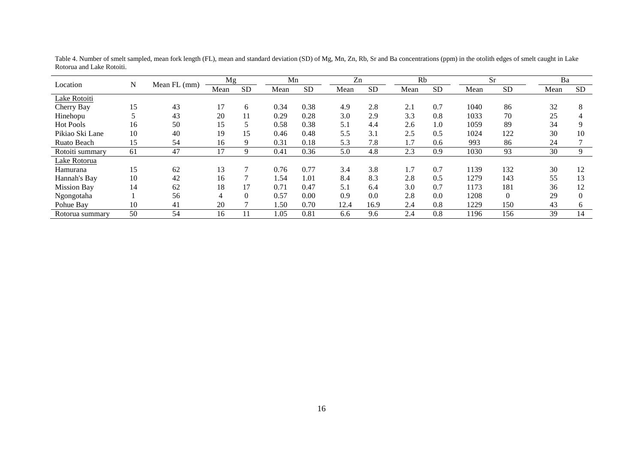<span id="page-15-0"></span>

|                    |    |              | Mg   |           | Mn   |           | Zn   |           | Rb   |           |      | <b>Sr</b> | Ba   |           |
|--------------------|----|--------------|------|-----------|------|-----------|------|-----------|------|-----------|------|-----------|------|-----------|
| Location           | N  | Mean FL (mm) | Mean | <b>SD</b> | Mean | <b>SD</b> | Mean | <b>SD</b> | Mean | <b>SD</b> | Mean | <b>SD</b> | Mean | <b>SD</b> |
| Lake Rotoiti       |    |              |      |           |      |           |      |           |      |           |      |           |      |           |
| Cherry Bay         | 15 | 43           | 17   | 6         | 0.34 | 0.38      | 4.9  | 2.8       | 2.1  | 0.7       | 1040 | 86        | 32   | 8         |
| Hinehopu           |    | 43           | 20   | 11        | 0.29 | 0.28      | 3.0  | 2.9       | 3.3  | 0.8       | 1033 | 70        | 25   | 4         |
| <b>Hot Pools</b>   | 16 | 50           | 15   |           | 0.58 | 0.38      | 5.1  | 4.4       | 2.6  | 1.0       | 1059 | 89        | 34   | q         |
| Pikiao Ski Lane    | 10 | 40           | 19   | 15        | 0.46 | 0.48      | 5.5  | 3.1       | 2.5  | 0.5       | 1024 | 122       | 30   | 10        |
| Ruato Beach        | 15 | 54           | 16   | 9         | 0.31 | 0.18      | 5.3  | 7.8       | 1.7  | 0.6       | 993  | 86        | 24   |           |
| Rotoiti summary    | 61 | 47           | 17   | 9         | 0.41 | 0.36      | 5.0  | 4.8       | 2.3  | 0.9       | 1030 | 93        | 30   | 9         |
| Lake Rotorua       |    |              |      |           |      |           |      |           |      |           |      |           |      |           |
| Hamurana           | 15 | 62           | 13   | 7         | 0.76 | 0.77      | 3.4  | 3.8       | 1.7  | 0.7       | 1139 | 132       | 30   | 12        |
| Hannah's Bay       | 10 | 42           | 16   |           | 1.54 | 1.01      | 8.4  | 8.3       | 2.8  | 0.5       | 1279 | 143       | 55   | 13        |
| <b>Mission Bay</b> | 14 | 62           | 18   | 17        | 0.71 | 0.47      | 5.1  | 6.4       | 3.0  | 0.7       | 1173 | 181       | 36   | 12        |
| Ngongotaha         |    | 56           | 4    | $\Omega$  | 0.57 | 0.00      | 0.9  | 0.0       | 2.8  | 0.0       | 1208 | $\Omega$  | 29   | $\Omega$  |
| Pohue Bay          | 10 | 41           | 20   |           | 1.50 | 0.70      | 12.4 | 16.9      | 2.4  | 0.8       | 1229 | 150       | 43   | 6         |
| Rotorua summary    | 50 | 54           | 16   | 11        | 1.05 | 0.81      | 6.6  | 9.6       | 2.4  | 0.8       | 1196 | 156       | 39   | 14        |

Table 4. Number of smelt sampled, mean fork length (FL), mean and standard deviation (SD) of Mg, Mn, Zn, Rb, Sr and Ba concentrations (ppm) in the otolith edges of smelt caught in Lake Rotorua and Lake Rotoiti.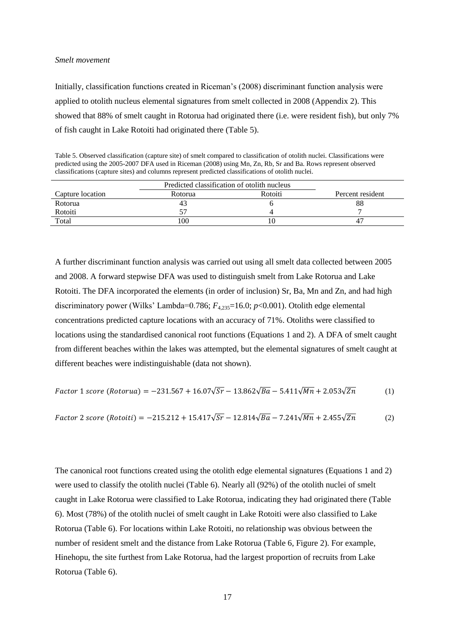#### <span id="page-16-0"></span>*Smelt movement*

Initially, classification functions created in Riceman's (2008) discriminant function analysis were applied to otolith nucleus elemental signatures from smelt collected in 2008 (Appendix 2). This showed that 88% of smelt caught in Rotorua had originated there (i.e. were resident fish), but only 7% of fish caught in Lake Rotoiti had originated there (Table 5).

<span id="page-16-1"></span>Table 5. Observed classification (capture site) of smelt compared to classification of otolith nuclei. Classifications were predicted using the 2005-2007 DFA used in Riceman (2008) using Mn, Zn, Rb, Sr and Ba. Rows represent observed classifications (capture sites) and columns represent predicted classifications of otolith nuclei.

|                  | Predicted classification of otolith nucleus |         |                  |
|------------------|---------------------------------------------|---------|------------------|
| Capture location | Rotorua                                     | Rotoiti | Percent resident |
| Rotorua          | 43                                          |         | 88               |
| Rotoiti          |                                             |         |                  |
| Total            | 100                                         |         |                  |

A further discriminant function analysis was carried out using all smelt data collected between 2005 and 2008. A forward stepwise DFA was used to distinguish smelt from Lake Rotorua and Lake Rotoiti. The DFA incorporated the elements (in order of inclusion) Sr, Ba, Mn and Zn, and had high discriminatory power (Wilks' Lambda=0.786;  $F_{4,235}=16.0$ ;  $p<0.001$ ). Otolith edge elemental concentrations predicted capture locations with an accuracy of 71%. Otoliths were classified to locations using the standardised canonical root functions (Equations 1 and 2). A DFA of smelt caught from different beaches within the lakes was attempted, but the elemental signatures of smelt caught at different beaches were indistinguishable (data not shown).

Factor 1 score (Rotorua) = 
$$
-231.567 + 16.07\sqrt{Sr} - 13.862\sqrt{Ba} - 5.411\sqrt{Mn} + 2.053\sqrt{Zn}
$$
 (1)

Factor 2 score (Rotoiti) = 
$$
-215.212 + 15.417\sqrt{Sr} - 12.814\sqrt{Ba} - 7.241\sqrt{Mn} + 2.455\sqrt{Zn}
$$
 (2)

The canonical root functions created using the otolith edge elemental signatures (Equations 1 and 2) were used to classify the otolith nuclei (Table 6). Nearly all (92%) of the otolith nuclei of smelt caught in Lake Rotorua were classified to Lake Rotorua, indicating they had originated there (Table 6). Most (78%) of the otolith nuclei of smelt caught in Lake Rotoiti were also classified to Lake Rotorua (Table 6). For locations within Lake Rotoiti, no relationship was obvious between the number of resident smelt and the distance from Lake Rotorua (Table 6, Figure 2). For example, Hinehopu, the site furthest from Lake Rotorua, had the largest proportion of recruits from Lake Rotorua (Table 6).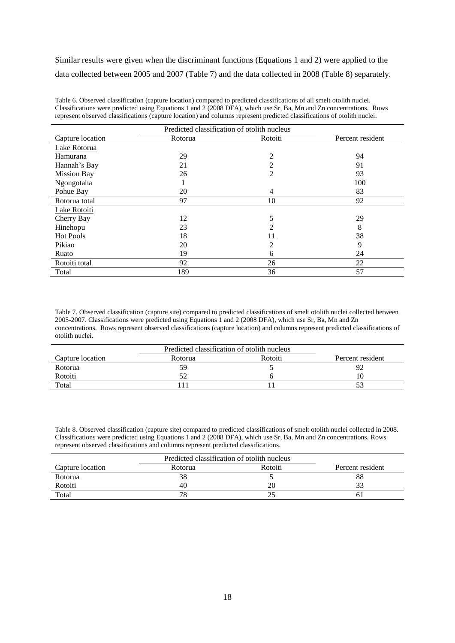Similar results were given when the discriminant functions (Equations 1 and 2) were applied to the data collected between 2005 and 2007 (Table 7) and the data collected in 2008 (Table 8) separately.

<span id="page-17-0"></span>Table 6. Observed classification (capture location) compared to predicted classifications of all smelt otolith nuclei. Classifications were predicted using Equations 1 and 2 (2008 DFA), which use Sr, Ba, Mn and Zn concentrations. Rows represent observed classifications (capture location) and columns represent predicted classifications of otolith nuclei.

| Predicted classification of otolith nucleus |         |                |                  |  |  |  |  |
|---------------------------------------------|---------|----------------|------------------|--|--|--|--|
| Capture location                            | Rotorua | Rotoiti        | Percent resident |  |  |  |  |
| Lake Rotorua                                |         |                |                  |  |  |  |  |
| Hamurana                                    | 29      | $\overline{2}$ | 94               |  |  |  |  |
| Hannah's Bay                                | 21      | $\overline{2}$ | 91               |  |  |  |  |
| <b>Mission Bay</b>                          | 26      | 2              | 93               |  |  |  |  |
| Ngongotaha                                  |         |                | 100              |  |  |  |  |
| Pohue Bay                                   | 20      | 4              | 83               |  |  |  |  |
| Rotorua total                               | 97      | 10             | 92               |  |  |  |  |
| Lake Rotoiti                                |         |                |                  |  |  |  |  |
| Cherry Bay                                  | 12      | 5              | 29               |  |  |  |  |
| Hinehopu                                    | 23      | 2              | 8                |  |  |  |  |
| <b>Hot Pools</b>                            | 18      | 11             | 38               |  |  |  |  |
| Pikiao                                      | 20      | $\overline{c}$ | 9                |  |  |  |  |
| Ruato                                       | 19      | 6              | 24               |  |  |  |  |
| Rotoiti total                               | 92      | 26             | 22               |  |  |  |  |
| Total                                       | 189     | 36             | 57               |  |  |  |  |

<span id="page-17-1"></span>Table 7. Observed classification (capture site) compared to predicted classifications of smelt otolith nuclei collected between 2005-2007. Classifications were predicted using Equations 1 and 2 (2008 DFA), which use Sr, Ba, Mn and Zn concentrations. Rows represent observed classifications (capture location) and columns represent predicted classifications of otolith nuclei.

|                  | Predicted classification of otolith nucleus |         |                  |
|------------------|---------------------------------------------|---------|------------------|
| Capture location | Rotorua                                     | Rotoiti | Percent resident |
| Rotorua          | 59                                          |         |                  |
| Rotoiti          |                                             |         | 10               |
| Total            |                                             |         |                  |

<span id="page-17-2"></span>Table 8. Observed classification (capture site) compared to predicted classifications of smelt otolith nuclei collected in 2008. Classifications were predicted using Equations 1 and 2 (2008 DFA), which use Sr, Ba, Mn and Zn concentrations. Rows represent observed classifications and columns represent predicted classifications.

| Capture location | Rotorua | Rotoiti | Percent resident |
|------------------|---------|---------|------------------|
| Rotorua          | 38      |         | 88               |
| Rotoiti          | 40      | 20      | 22               |
| Total            | 78      |         |                  |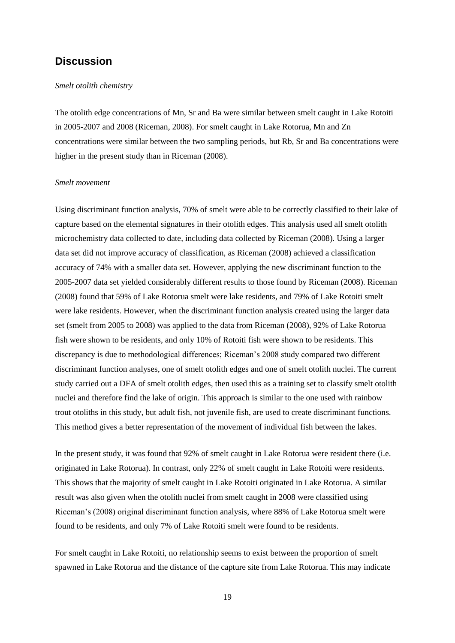### <span id="page-18-0"></span>**Discussion**

#### <span id="page-18-1"></span>*Smelt otolith chemistry*

The otolith edge concentrations of Mn, Sr and Ba were similar between smelt caught in Lake Rotoiti in 2005-2007 and 2008 (Riceman, 2008). For smelt caught in Lake Rotorua, Mn and Zn concentrations were similar between the two sampling periods, but Rb, Sr and Ba concentrations were higher in the present study than in Riceman (2008).

#### <span id="page-18-2"></span>*Smelt movement*

Using discriminant function analysis, 70% of smelt were able to be correctly classified to their lake of capture based on the elemental signatures in their otolith edges. This analysis used all smelt otolith microchemistry data collected to date, including data collected by Riceman (2008). Using a larger data set did not improve accuracy of classification, as Riceman (2008) achieved a classification accuracy of 74% with a smaller data set. However, applying the new discriminant function to the 2005-2007 data set yielded considerably different results to those found by Riceman (2008). Riceman (2008) found that 59% of Lake Rotorua smelt were lake residents, and 79% of Lake Rotoiti smelt were lake residents. However, when the discriminant function analysis created using the larger data set (smelt from 2005 to 2008) was applied to the data from Riceman (2008), 92% of Lake Rotorua fish were shown to be residents, and only 10% of Rotoiti fish were shown to be residents. This discrepancy is due to methodological differences; Riceman's 2008 study compared two different discriminant function analyses, one of smelt otolith edges and one of smelt otolith nuclei. The current study carried out a DFA of smelt otolith edges, then used this as a training set to classify smelt otolith nuclei and therefore find the lake of origin. This approach is similar to the one used with rainbow trout otoliths in this study, but adult fish, not juvenile fish, are used to create discriminant functions. This method gives a better representation of the movement of individual fish between the lakes.

In the present study, it was found that 92% of smelt caught in Lake Rotorua were resident there (i.e. originated in Lake Rotorua). In contrast, only 22% of smelt caught in Lake Rotoiti were residents. This shows that the majority of smelt caught in Lake Rotoiti originated in Lake Rotorua. A similar result was also given when the otolith nuclei from smelt caught in 2008 were classified using Riceman's (2008) original discriminant function analysis, where 88% of Lake Rotorua smelt were found to be residents, and only 7% of Lake Rotoiti smelt were found to be residents.

For smelt caught in Lake Rotoiti, no relationship seems to exist between the proportion of smelt spawned in Lake Rotorua and the distance of the capture site from Lake Rotorua. This may indicate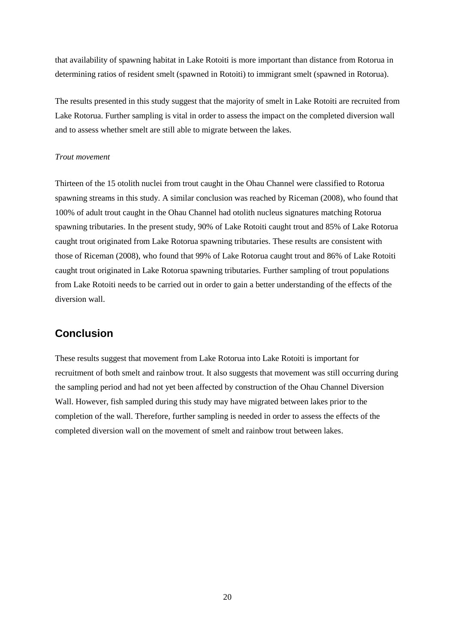that availability of spawning habitat in Lake Rotoiti is more important than distance from Rotorua in determining ratios of resident smelt (spawned in Rotoiti) to immigrant smelt (spawned in Rotorua).

The results presented in this study suggest that the majority of smelt in Lake Rotoiti are recruited from Lake Rotorua. Further sampling is vital in order to assess the impact on the completed diversion wall and to assess whether smelt are still able to migrate between the lakes.

#### <span id="page-19-0"></span>*Trout movement*

Thirteen of the 15 otolith nuclei from trout caught in the Ohau Channel were classified to Rotorua spawning streams in this study. A similar conclusion was reached by Riceman (2008), who found that 100% of adult trout caught in the Ohau Channel had otolith nucleus signatures matching Rotorua spawning tributaries. In the present study, 90% of Lake Rotoiti caught trout and 85% of Lake Rotorua caught trout originated from Lake Rotorua spawning tributaries. These results are consistent with those of Riceman (2008), who found that 99% of Lake Rotorua caught trout and 86% of Lake Rotoiti caught trout originated in Lake Rotorua spawning tributaries. Further sampling of trout populations from Lake Rotoiti needs to be carried out in order to gain a better understanding of the effects of the diversion wall.

## <span id="page-19-1"></span>**Conclusion**

These results suggest that movement from Lake Rotorua into Lake Rotoiti is important for recruitment of both smelt and rainbow trout. It also suggests that movement was still occurring during the sampling period and had not yet been affected by construction of the Ohau Channel Diversion Wall. However, fish sampled during this study may have migrated between lakes prior to the completion of the wall. Therefore, further sampling is needed in order to assess the effects of the completed diversion wall on the movement of smelt and rainbow trout between lakes.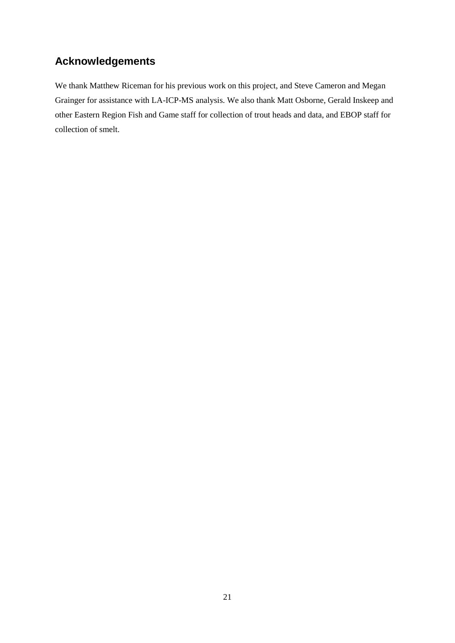## <span id="page-20-0"></span>**Acknowledgements**

We thank Matthew Riceman for his previous work on this project, and Steve Cameron and Megan Grainger for assistance with LA-ICP-MS analysis. We also thank Matt Osborne, Gerald Inskeep and other Eastern Region Fish and Game staff for collection of trout heads and data, and EBOP staff for collection of smelt.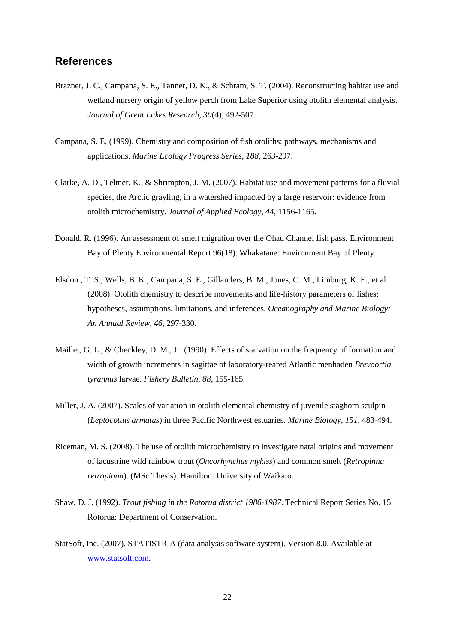### <span id="page-21-0"></span>**References**

- Brazner, J. C., Campana, S. E., Tanner, D. K., & Schram, S. T. (2004). Reconstructing habitat use and wetland nursery origin of yellow perch from Lake Superior using otolith elemental analysis. *Journal of Great Lakes Research, 30*(4), 492-507.
- Campana, S. E. (1999). Chemistry and composition of fish otoliths: pathways, mechanisms and applications. *Marine Ecology Progress Series, 188*, 263-297.
- Clarke, A. D., Telmer, K., & Shrimpton, J. M. (2007). Habitat use and movement patterns for a fluvial species, the Arctic grayling, in a watershed impacted by a large reservoir: evidence from otolith microchemistry. *Journal of Applied Ecology, 44*, 1156-1165.
- Donald, R. (1996). An assessment of smelt migration over the Ohau Channel fish pass. Environment Bay of Plenty Environmental Report 96(18). Whakatane: Environment Bay of Plenty.
- Elsdon , T. S., Wells, B. K., Campana, S. E., Gillanders, B. M., Jones, C. M., Limburg, K. E., et al. (2008). Otolith chemistry to describe movements and life-history parameters of fishes: hypotheses, assumptions, limitations, and inferences. *Oceanography and Marine Biology: An Annual Review, 46*, 297-330.
- Maillet, G. L., & Checkley, D. M., Jr. (1990). Effects of starvation on the frequency of formation and width of growth increments in sagittae of laboratory-reared Atlantic menhaden *Brevoortia tyrannus* larvae. *Fishery Bulletin, 88*, 155-165.
- Miller, J. A. (2007). Scales of variation in otolith elemental chemistry of juvenile staghorn sculpin (*Leptocottus armatus*) in three Pacific Northwest estuaries. *Marine Biology, 151*, 483-494.
- Riceman, M. S. (2008). The use of otolith microchemistry to investigate natal origins and movement of lacustrine wild rainbow trout (*Oncorhynchus mykiss*) and common smelt (*Retropinna retropinna*). (MSc Thesis). Hamilton: University of Waikato.
- Shaw, D. J. (1992). *Trout fishing in the Rotorua district 1986-1987*. Technical Report Series No. 15. Rotorua: Department of Conservation.
- StatSoft, Inc. (2007). STATISTICA (data analysis software system). Version 8.0. Available at [www.statsoft.com.](http://www.statsoft.com/)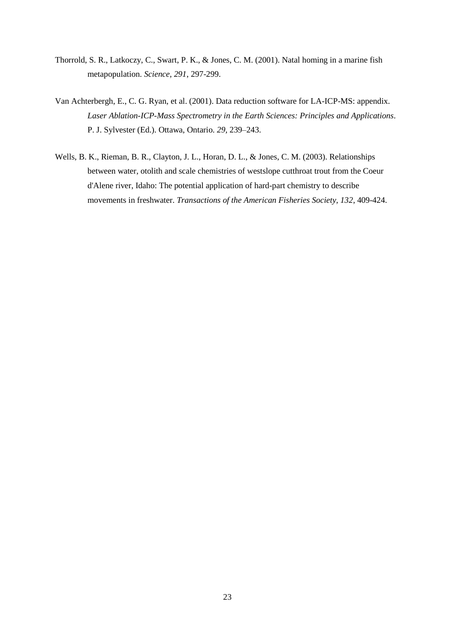- Thorrold, S. R., Latkoczy, C., Swart, P. K., & Jones, C. M. (2001). Natal homing in a marine fish metapopulation. *Science, 291*, 297-299.
- Van Achterbergh, E., C. G. Ryan, et al. (2001). Data reduction software for LA-ICP-MS: appendix. *Laser Ablation-ICP-Mass Spectrometry in the Earth Sciences: Principles and Applications*. P. J. Sylvester (Ed.). Ottawa, Ontario. *29,* 239–243.
- Wells, B. K., Rieman, B. R., Clayton, J. L., Horan, D. L., & Jones, C. M. (2003). Relationships between water, otolith and scale chemistries of westslope cutthroat trout from the Coeur d'Alene river, Idaho: The potential application of hard-part chemistry to describe movements in freshwater. *Transactions of the American Fisheries Society, 132*, 409-424.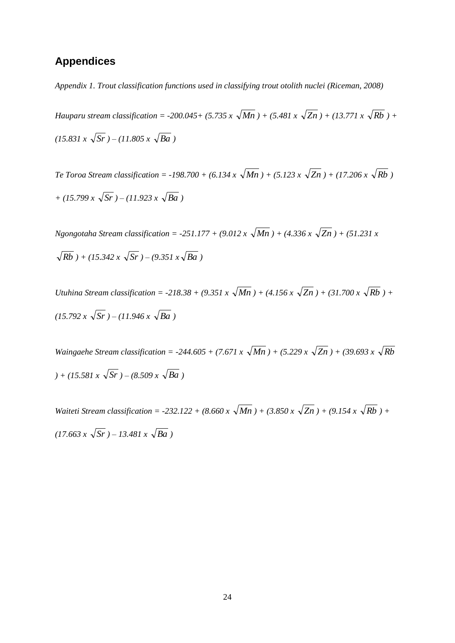## <span id="page-23-0"></span>**Appendices**

*Appendix 1. Trout classification functions used in classifying trout otolith nuclei (Riceman, 2008)*

*Hauparu stream classification* = -200.045+ (5.735 x  $\sqrt{Mn}$  ) + (5.481 x  $\sqrt{Zn}$  ) + (13.771 x  $\sqrt{Rb}$  ) +  $(15.831 \times \sqrt{Sr}) - (11.805 \times \sqrt{Ba})$ 

*Te Toroa Stream classification* = -198.700 + (6.134 x  $\sqrt{Mn}$ ) + (5.123 x  $\sqrt{Zn}$ ) + (17.206 x  $\sqrt{Rb}$ ) *+ (15.799 x Sr ) – (11.923 x Ba )*

*Ngongotaha Stream classification = -251.177 + (9.012 x Mn ) + (4.336 x Zn ) + (51.231 x*   $Rb$ ) + (15.342 x  $\sqrt{Sr}$ ) – (9.351 x $\sqrt{Ba}$ )

*Utuhina Stream classification* = -218.38 + (9.351 x  $\sqrt{Mn}$ ) + (4.156 x  $\sqrt{Zn}$ ) + (31.700 x  $\sqrt{Rb}$ ) +  $(15.792 \times \sqrt{Sr}) - (11.946 \times \sqrt{Ba})$ 

*Waingaehe Stream classification* = -244.605 + (7.671 x  $\sqrt{Mn}$ ) + (5.229 x  $\sqrt{Zn}$ ) + (39.693 x  $\sqrt{Rb}$  $(15.581 \times \sqrt{Sr}) - (8.509 \times \sqrt{Ba})$ 

*Waiteti Stream classification* = -232.122 + (8.660 x  $\sqrt{Mn}$ ) + (3.850 x  $\sqrt{Zn}$ ) + (9.154 x  $\sqrt{Rb}$ ) +  $(17.663 x \sqrt{Sr}) - 13.481 x \sqrt{Ba})$